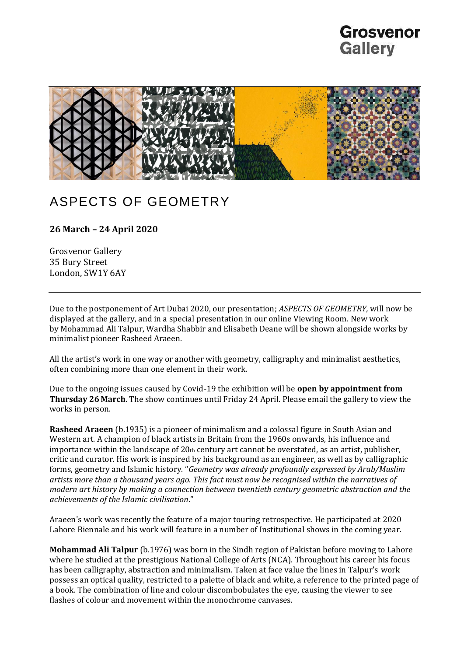### Grosvenor **Gallery**



### ASPECTS OF GEOMETRY

#### **26 March – 24 April 2020**

Grosvenor Gallery 35 Bury Street London, SW1Y 6AY

Due to the postponement of Art Dubai 2020, our presentation; *ASPECTS OF GEOMETRY,* will now be displayed at the gallery, and in a special presentation in our online Viewing Room. New work by Mohammad Ali Talpur, Wardha Shabbir and Elisabeth Deane will be shown alongside works by minimalist pioneer Rasheed Araeen.

All the artist's work in one way or another with geometry, calligraphy and minimalist aesthetics, often combining more than one element in their work.

Due to the ongoing issues caused by Covid-19 the exhibition will be **open by appointment from Thursday 26 March**. The show continues until Friday 24 April. Please email the gallery to view the works in person.

**Rasheed Araeen** (b.1935) is a pioneer of minimalism and a colossal figure in South Asian and Western art. A champion of black artists in Britain from the 1960s onwards, his influence and importance within the landscape of 20th century art cannot be overstated, as an artist, publisher, critic and curator. His work is inspired by his background as an engineer, as well as by calligraphic forms, geometry and Islamic history. "*Geometry was already profoundly expressed by Arab/Muslim artists more than a thousand years ago. This fact must now be recognised within the narratives of modern art history by making a connection between twentieth century geometric abstraction and the achievements of the Islamic civilisation*."

Araeen's work was recently the feature of a major touring retrospective. He participated at 2020 Lahore Biennale and his work will feature in a number of Institutional shows in the coming year.

**Mohammad Ali Talpur** (b.1976) was born in the Sindh region of Pakistan before moving to Lahore where he studied at the prestigious National College of Arts (NCA). Throughout his career his focus has been calligraphy, abstraction and minimalism. Taken at face value the lines in Talpur's work possess an optical quality, restricted to a palette of black and white, a reference to the printed page of a book. The combination of line and colour discombobulates the eye, causing the viewer to see flashes of colour and movement within the monochrome canvases.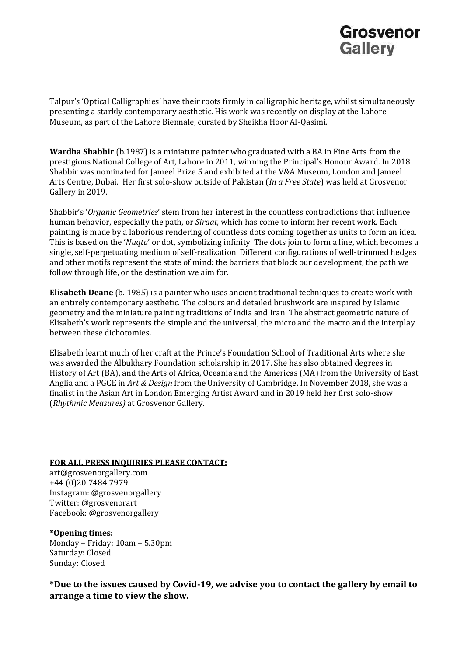## Grosvenor **Gallery**

Talpur's 'Optical Calligraphies' have their roots firmly in calligraphic heritage, whilst simultaneously presenting a starkly contemporary aesthetic. His work was recently on display at the Lahore Museum, as part of the Lahore Biennale, curated by Sheikha Hoor Al-Qasimi.

**Wardha Shabbir** (b.1987) is a miniature painter who graduated with a BA in Fine Arts from the prestigious National College of Art, Lahore in 2011, winning the Principal's Honour Award. In 2018 Shabbir was nominated for Jameel Prize 5 and exhibited at the V&A Museum, London and Jameel Arts Centre, Dubai. Her first solo-show outside of Pakistan (*In a Free State*) was held at Grosvenor Gallery in 2019.

Shabbir's '*Organic Geometries*' stem from her interest in the countless contradictions that influence human behavior, especially the path, or *Siraat,* which has come to inform her recent work. Each painting is made by a laborious rendering of countless dots coming together as units to form an idea. This is based on the '*Nuqta*' or dot, symbolizing infinity. The dots join to form a line, which becomes a single, self-perpetuating medium of self-realization. Different configurations of well-trimmed hedges and other motifs represent the state of mind: the barriers that block our development, the path we follow through life, or the destination we aim for.

**Elisabeth Deane** (b. 1985) is a painter who uses ancient traditional techniques to create work with an entirely contemporary aesthetic. The colours and detailed brushwork are inspired by Islamic geometry and the miniature painting traditions of India and Iran. The abstract geometric nature of Elisabeth's work represents the simple and the universal, the micro and the macro and the interplay between these dichotomies.

Elisabeth learnt much of her craft at the Prince's Foundation School of Traditional Arts where she was awarded the Albukhary Foundation scholarship in 2017. She has also obtained degrees in History of Art (BA), and the Arts of Africa, Oceania and the Americas (MA) from the University of East Anglia and a PGCE in *Art & Design* from the University of Cambridge. In November 2018, she was a finalist in the Asian Art in London Emerging Artist Award and in 2019 held her first solo-show (*Rhythmic Measures)* at Grosvenor Gallery.

#### **FOR ALL PRESS INQUIRIES PLEASE CONTACT:**

art@grosvenorgallery.com +44 (0)20 7484 7979 Instagram: @grosvenorgallery Twitter: @grosvenorart Facebook: @grosvenorgallery

**\*Opening times:** Monday – Friday: 10am – 5.30pm Saturday: Closed Sunday: Closed

**\*Due to the issues caused by Covid-19, we advise you to contact the gallery by email to arrange a time to view the show.**